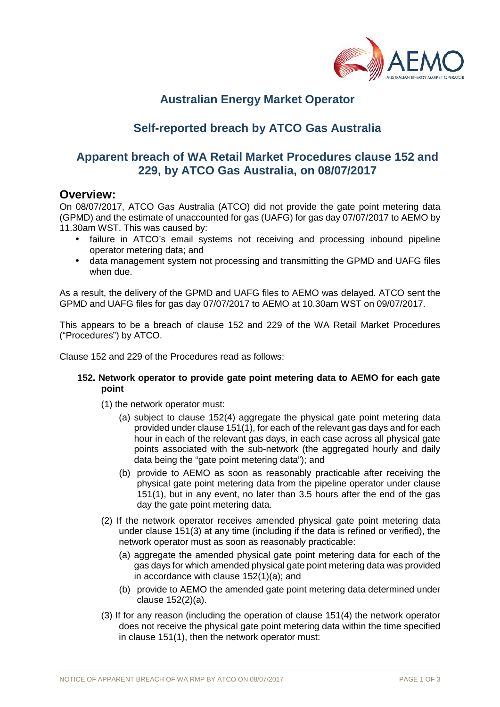

# **Australian Energy Market Operator**

# **Self-reported breach by ATCO Gas Australia**

# **Apparent breach of WA Retail Market Procedures clause 152 and 229, by ATCO Gas Australia, on 08/07/2017**

## **Overview:**

On 08/07/2017, ATCO Gas Australia (ATCO) did not provide the gate point metering data (GPMD) and the estimate of unaccounted for gas (UAFG) for gas day 07/07/2017 to AEMO by 11.30am WST. This was caused by:

- failure in ATCO's email systems not receiving and processing inbound pipeline operator metering data; and
- data management system not processing and transmitting the GPMD and UAFG files when due.

As a result, the delivery of the GPMD and UAFG files to AEMO was delayed. ATCO sent the GPMD and UAFG files for gas day 07/07/2017 to AEMO at 10.30am WST on 09/07/2017.

This appears to be a breach of clause 152 and 229 of the WA Retail Market Procedures ("Procedures") by ATCO.

Clause 152 and 229 of the Procedures read as follows:

### **152. Network operator to provide gate point metering data to AEMO for each gate point**

- (1) the network operator must:
	- (a) subject to clause 152(4) aggregate the physical gate point metering data provided under clause 151(1), for each of the relevant gas days and for each hour in each of the relevant gas days, in each case across all physical gate points associated with the sub-network (the aggregated hourly and daily data being the "gate point metering data"); and
	- (b) provide to AEMO as soon as reasonably practicable after receiving the physical gate point metering data from the pipeline operator under clause 151(1), but in any event, no later than 3.5 hours after the end of the gas day the gate point metering data.
- (2) If the network operator receives amended physical gate point metering data under clause 151(3) at any time (including if the data is refined or verified), the network operator must as soon as reasonably practicable:
	- (a) aggregate the amended physical gate point metering data for each of the gas days for which amended physical gate point metering data was provided in accordance with clause 152(1)(a); and
	- (b) provide to AEMO the amended gate point metering data determined under clause 152(2)(a).
- (3) If for any reason (including the operation of clause 151(4) the network operator does not receive the physical gate point metering data within the time specified in clause 151(1), then the network operator must: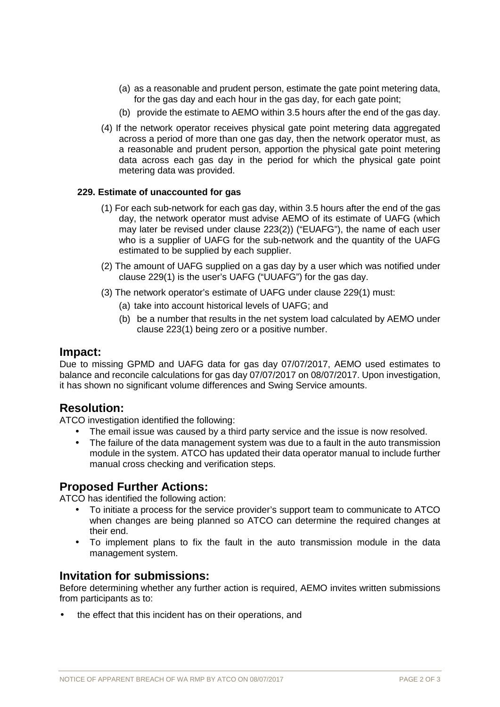- (a) as a reasonable and prudent person, estimate the gate point metering data, for the gas day and each hour in the gas day, for each gate point;
- (b) provide the estimate to AEMO within 3.5 hours after the end of the gas day.
- (4) If the network operator receives physical gate point metering data aggregated across a period of more than one gas day, then the network operator must, as a reasonable and prudent person, apportion the physical gate point metering data across each gas day in the period for which the physical gate point metering data was provided.

#### **229. Estimate of unaccounted for gas**

- (1) For each sub-network for each gas day, within 3.5 hours after the end of the gas day, the network operator must advise AEMO of its estimate of UAFG (which may later be revised under clause 223(2)) ("EUAFG"), the name of each user who is a supplier of UAFG for the sub-network and the quantity of the UAFG estimated to be supplied by each supplier.
- (2) The amount of UAFG supplied on a gas day by a user which was notified under clause 229(1) is the user's UAFG ("UUAFG") for the gas day.
- (3) The network operator's estimate of UAFG under clause 229(1) must:
	- (a) take into account historical levels of UAFG; and
	- (b) be a number that results in the net system load calculated by AEMO under clause 223(1) being zero or a positive number.

### **Impact:**

Due to missing GPMD and UAFG data for gas day 07/07/2017, AEMO used estimates to balance and reconcile calculations for gas day 07/07/2017 on 08/07/2017. Upon investigation, it has shown no significant volume differences and Swing Service amounts.

## **Resolution:**

ATCO investigation identified the following:

- The email issue was caused by a third party service and the issue is now resolved.
- The failure of the data management system was due to a fault in the auto transmission module in the system. ATCO has updated their data operator manual to include further manual cross checking and verification steps.

## **Proposed Further Actions:**

ATCO has identified the following action:

- To initiate a process for the service provider's support team to communicate to ATCO when changes are being planned so ATCO can determine the required changes at their end.
- To implement plans to fix the fault in the auto transmission module in the data management system.

### **Invitation for submissions:**

Before determining whether any further action is required, AEMO invites written submissions from participants as to:

the effect that this incident has on their operations, and